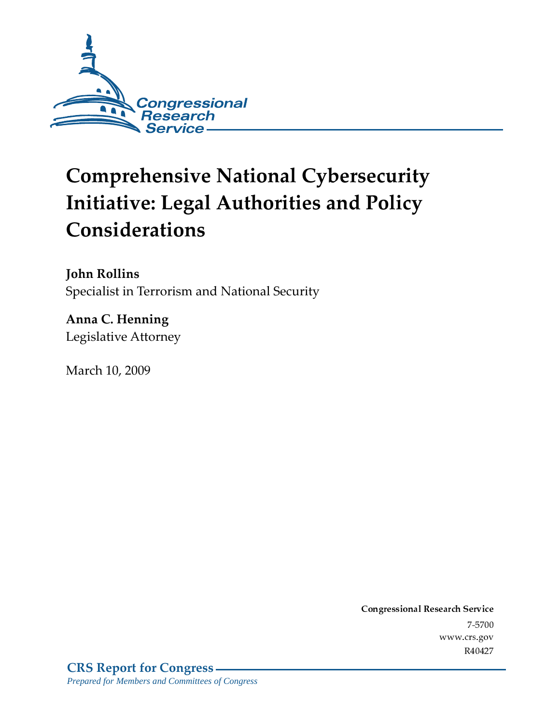

# **Comprehensive National Cybersecurity Initiative: Legal Authorities and Policy Considerations**

John Rollins Specialist in Terrorism and National Security

Anna C. Henning Legislative Attorney

March 10, 2009

Conglessional Research Service  $7 - 2700$ www.crs.gov R40427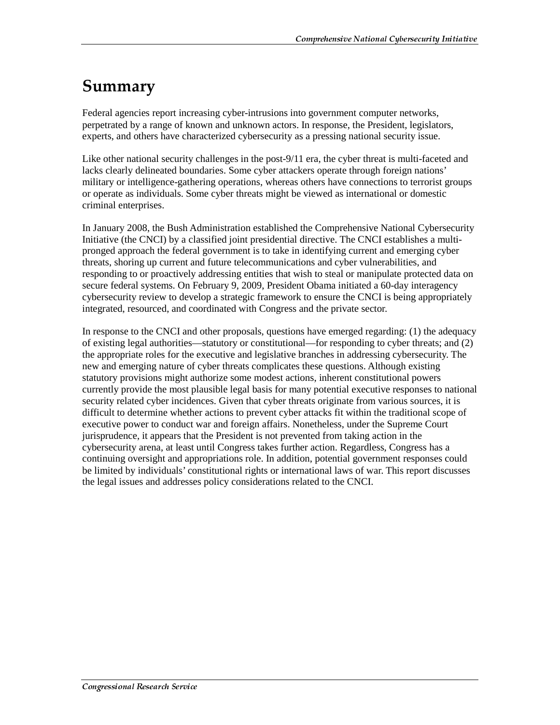# Summary

Federal agencies report increasing cyber-intrusions into government computer networks, perpetrated by a range of known and unknown actors. In response, the President, legislators, experts, and others have characterized cybersecurity as a pressing national security issue.

Like other national security challenges in the post-9/11 era, the cyber threat is multi-faceted and lacks clearly delineated boundaries. Some cyber attackers operate through foreign nations' military or intelligence-gathering operations, whereas others have connections to terrorist groups or operate as individuals. Some cyber threats might be viewed as international or domestic criminal enterprises.

In January 2008, the Bush Administration established the Comprehensive National Cybersecurity Initiative (the CNCI) by a classified joint presidential directive. The CNCI establishes a multipronged approach the federal government is to take in identifying current and emerging cyber threats, shoring up current and future telecommunications and cyber vulnerabilities, and responding to or proactively addressing entities that wish to steal or manipulate protected data on secure federal systems. On February 9, 2009, President Obama initiated a 60-day interagency cybersecurity review to develop a strategic framework to ensure the CNCI is being appropriately integrated, resourced, and coordinated with Congress and the private sector.

In response to the CNCI and other proposals, questions have emerged regarding: (1) the adequacy of existing legal authorities—statutory or constitutional—for responding to cyber threats; and (2) the appropriate roles for the executive and legislative branches in addressing cybersecurity. The new and emerging nature of cyber threats complicates these questions. Although existing statutory provisions might authorize some modest actions, inherent constitutional powers currently provide the most plausible legal basis for many potential executive responses to national security related cyber incidences. Given that cyber threats originate from various sources, it is difficult to determine whether actions to prevent cyber attacks fit within the traditional scope of executive power to conduct war and foreign affairs. Nonetheless, under the Supreme Court jurisprudence, it appears that the President is not prevented from taking action in the cybersecurity arena, at least until Congress takes further action. Regardless, Congress has a continuing oversight and appropriations role. In addition, potential government responses could be limited by individuals' constitutional rights or international laws of war. This report discusses the legal issues and addresses policy considerations related to the CNCI.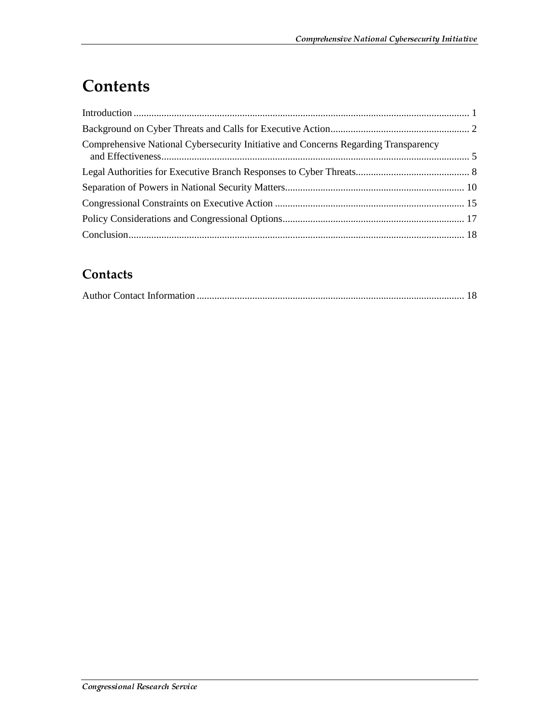# **Contents**

| Comprehensive National Cybersecurity Initiative and Concerns Regarding Transparency |  |
|-------------------------------------------------------------------------------------|--|
|                                                                                     |  |
|                                                                                     |  |
|                                                                                     |  |
|                                                                                     |  |
|                                                                                     |  |

#### **Contacts**

|--|--|--|--|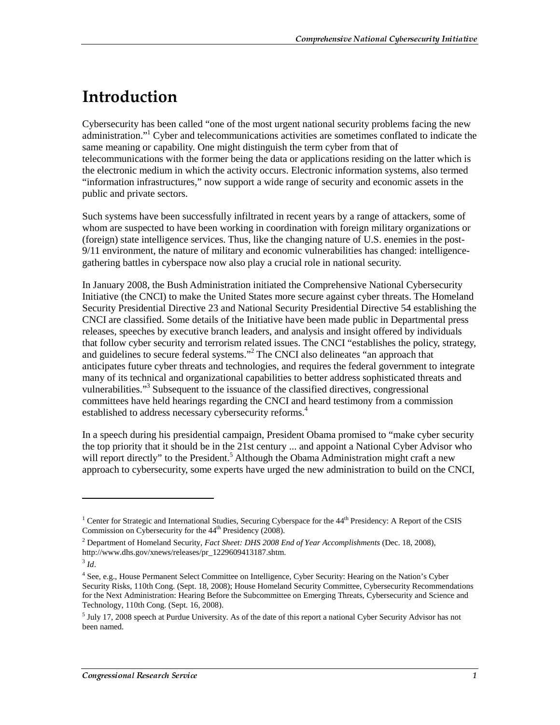#### <u>Introduction</u>

Cybersecurity has been called "one of the most urgent national security problems facing the new administration."<sup>1</sup> Cyber and telecommunications activities are sometimes conflated to indicate the same meaning or capability. One might distinguish the term cyber from that of telecommunications with the former being the data or applications residing on the latter which is the electronic medium in which the activity occurs. Electronic information systems, also termed "information infrastructures," now support a wide range of security and economic assets in the public and private sectors.

Such systems have been successfully infiltrated in recent years by a range of attackers, some of whom are suspected to have been working in coordination with foreign military organizations or (foreign) state intelligence services. Thus, like the changing nature of U.S. enemies in the post-9/11 environment, the nature of military and economic vulnerabilities has changed: intelligencegathering battles in cyberspace now also play a crucial role in national security.

In January 2008, the Bush Administration initiated the Comprehensive National Cybersecurity Initiative (the CNCI) to make the United States more secure against cyber threats. The Homeland Security Presidential Directive 23 and National Security Presidential Directive 54 establishing the CNCI are classified. Some details of the Initiative have been made public in Departmental press releases, speeches by executive branch leaders, and analysis and insight offered by individuals that follow cyber security and terrorism related issues. The CNCI "establishes the policy, strategy, and guidelines to secure federal systems."<sup>2</sup> The CNCI also delineates "an approach that anticipates future cyber threats and technologies, and requires the federal government to integrate many of its technical and organizational capabilities to better address sophisticated threats and vulnerabilities."<sup>3</sup> Subsequent to the issuance of the classified directives, congressional committees have held hearings regarding the CNCI and heard testimony from a commission established to address necessary cybersecurity reforms.<sup>4</sup>

In a speech during his presidential campaign, President Obama promised to "make cyber security the top priority that it should be in the 21st century ... and appoint a National Cyber Advisor who will report directly" to the President.<sup>5</sup> Although the Obama Administration might craft a new approach to cybersecurity, some experts have urged the new administration to build on the CNCI,

<sup>&</sup>lt;sup>1</sup> Center for Strategic and International Studies, Securing Cyberspace for the  $44<sup>th</sup>$  Presidency: A Report of the CSIS Commission on Cybersecurity for the 44<sup>th</sup> Presidency (2008).

<sup>2</sup> Department of Homeland Security, *Fact Sheet: DHS 2008 End of Year Accomplishments* (Dec. 18, 2008), http://www.dhs.gov/xnews/releases/pr\_1229609413187.shtm.

 $3$  *Id.* 

<sup>&</sup>lt;sup>4</sup> See, e.g., House Permanent Select Committee on Intelligence, Cyber Security: Hearing on the Nation's Cyber Security Risks, 110th Cong. (Sept. 18, 2008); House Homeland Security Committee, Cybersecurity Recommendations for the Next Administration: Hearing Before the Subcommittee on Emerging Threats, Cybersecurity and Science and Technology, 110th Cong. (Sept. 16, 2008).

<sup>5</sup> July 17, 2008 speech at Purdue University. As of the date of this report a national Cyber Security Advisor has not been named.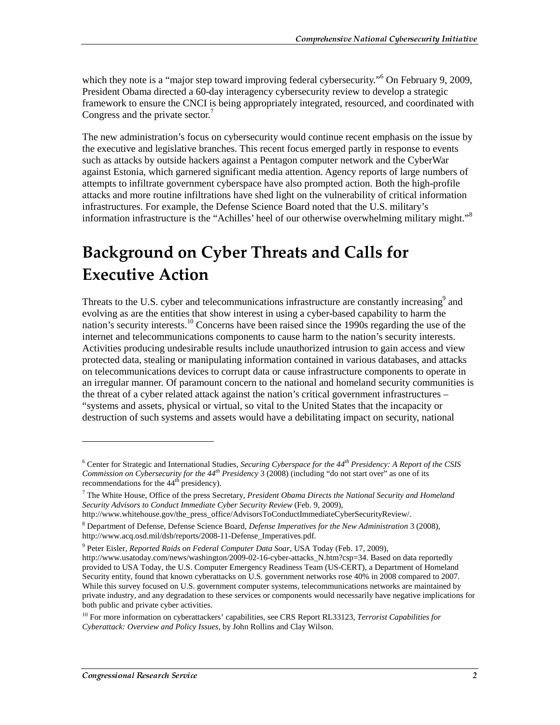which they note is a "major step toward improving federal cybersecurity."<sup>6</sup> On February 9, 2009, President Obama directed a 60-day interagency cybersecurity review to develop a strategic framework to ensure the CNCI is being appropriately integrated, resourced, and coordinated with Congress and the private sector.<sup>7</sup>

The new administration's focus on cybersecurity would continue recent emphasis on the issue by the executive and legislative branches. This recent focus emerged partly in response to events such as attacks by outside hackers against a Pentagon computer network and the CyberWar against Estonia, which garnered significant media attention. Agency reports of large numbers of attempts to infiltrate government cyberspace have also prompted action. Both the high-profile attacks and more routine infiltrations have shed light on the vulnerability of critical information infrastructures. For example, the Defense Science Board noted that the U.S. military's information infrastructure is the "Achilles' heel of our otherwise overwhelming military might."<sup>8</sup>

# **Background on Cyber Threats and Calls for Executive Action**

Threats to the U.S. cyber and telecommunications infrastructure are constantly increasing<sup>9</sup> and evolving as are the entities that show interest in using a cyber-based capability to harm the nation's security interests.<sup>10</sup> Concerns have been raised since the 1990s regarding the use of the internet and telecommunications components to cause harm to the nation's security interests. Activities producing undesirable results include unauthorized intrusion to gain access and view protected data, stealing or manipulating information contained in various databases, and attacks on telecommunications devices to corrupt data or cause infrastructure components to operate in an irregular manner. Of paramount concern to the national and homeland security communities is the threat of a cyber related attack against the nation's critical government infrastructures – "systems and assets, physical or virtual, so vital to the United States that the incapacity or destruction of such systems and assets would have a debilitating impact on security, national

<sup>6</sup> Center for Strategic and International Studies, *Securing Cyberspace for the 44th Presidency: A Report of the CSIS Commission on Cybersecurity for the 44th Presidency* 3 (2008) (including "do not start over" as one of its recommendations for the 44<sup>th</sup> presidency).

<sup>7</sup> The White House, Office of the press Secretary, *President Obama Directs the National Security and Homeland Security Advisors to Conduct Immediate Cyber Security Review* (Feb. 9, 2009),

http://www.whitehouse.gov/the\_press\_office/AdvisorsToConductImmediateCyberSecurityReview/.

<sup>8</sup> Department of Defense, Defense Science Board, *Defense Imperatives for the New Administration* 3 (2008), http://www.acq.osd.mil/dsb/reports/2008-11-Defense\_Imperatives.pdf.

<sup>9</sup> Peter Eisler, *Reported Raids on Federal Computer Data Soar*, USA Today (Feb. 17, 2009), http://www.usatoday.com/news/washington/2009-02-16-cyber-attacks\_N.htm?csp=34. Based on data reportedly provided to USA Today, the U.S. Computer Emergency Readiness Team (US-CERT), a Department of Homeland Security entity, found that known cyberattacks on U.S. government networks rose 40% in 2008 compared to 2007. While this survey focused on U.S. government computer systems, telecommunications networks are maintained by private industry, and any degradation to these services or components would necessarily have negative implications for both public and private cyber activities.

<sup>10</sup> For more information on cyberattackers' capabilities, see CRS Report RL33123, *Terrorist Capabilities for Cyberattack: Overview and Policy Issues*, by John Rollins and Clay Wilson.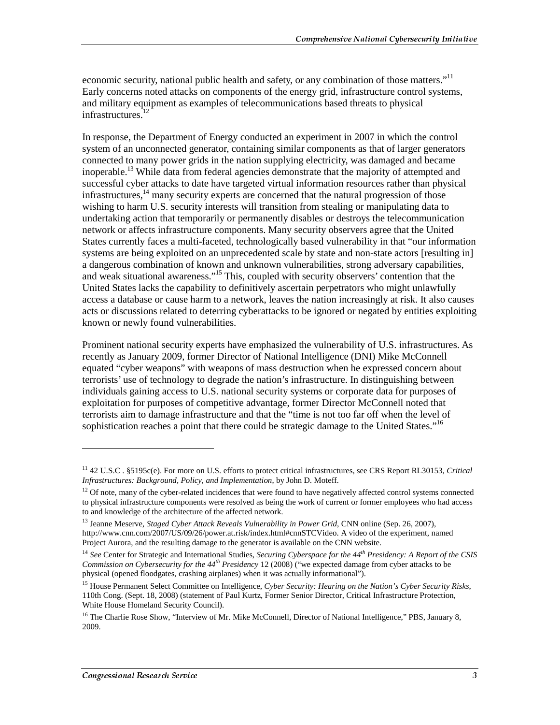economic security, national public health and safety, or any combination of those matters."<sup>11</sup> Early concerns noted attacks on components of the energy grid, infrastructure control systems, and military equipment as examples of telecommunications based threats to physical infrastructures.<sup>12</sup>

In response, the Department of Energy conducted an experiment in 2007 in which the control system of an unconnected generator, containing similar components as that of larger generators connected to many power grids in the nation supplying electricity, was damaged and became inoperable.<sup>13</sup> While data from federal agencies demonstrate that the majority of attempted and successful cyber attacks to date have targeted virtual information resources rather than physical infrastructures,<sup>14</sup> many security experts are concerned that the natural progression of those wishing to harm U.S. security interests will transition from stealing or manipulating data to undertaking action that temporarily or permanently disables or destroys the telecommunication network or affects infrastructure components. Many security observers agree that the United States currently faces a multi-faceted, technologically based vulnerability in that "our information systems are being exploited on an unprecedented scale by state and non-state actors [resulting in] a dangerous combination of known and unknown vulnerabilities, strong adversary capabilities, and weak situational awareness."15 This, coupled with security observers' contention that the United States lacks the capability to definitively ascertain perpetrators who might unlawfully access a database or cause harm to a network, leaves the nation increasingly at risk. It also causes acts or discussions related to deterring cyberattacks to be ignored or negated by entities exploiting known or newly found vulnerabilities.

Prominent national security experts have emphasized the vulnerability of U.S. infrastructures. As recently as January 2009, former Director of National Intelligence (DNI) Mike McConnell equated "cyber weapons" with weapons of mass destruction when he expressed concern about terrorists' use of technology to degrade the nation's infrastructure. In distinguishing between individuals gaining access to U.S. national security systems or corporate data for purposes of exploitation for purposes of competitive advantage, former Director McConnell noted that terrorists aim to damage infrastructure and that the "time is not too far off when the level of sophistication reaches a point that there could be strategic damage to the United States."<sup>16</sup>

<sup>11 42</sup> U.S.C . §5195c(e). For more on U.S. efforts to protect critical infrastructures, see CRS Report RL30153, *Critical Infrastructures: Background, Policy, and Implementation*, by John D. Moteff.

 $12$  Of note, many of the cyber-related incidences that were found to have negatively affected control systems connected to physical infrastructure components were resolved as being the work of current or former employees who had access to and knowledge of the architecture of the affected network.

<sup>&</sup>lt;sup>13</sup> Jeanne Meserve, *Staged Cyber Attack Reveals Vulnerability in Power Grid*, CNN online (Sep. 26, 2007), http://www.cnn.com/2007/US/09/26/power.at.risk/index.html#cnnSTCVideo. A video of the experiment, named Project Aurora, and the resulting damage to the generator is available on the CNN website.

<sup>14</sup> *See* Center for Strategic and International Studies, *Securing Cyberspace for the 44th Presidency: A Report of the CSIS Commission on Cybersecurity for the 44th Presidency* 12 (2008) ("we expected damage from cyber attacks to be physical (opened floodgates, crashing airplanes) when it was actually informational").

<sup>15</sup> House Permanent Select Committee on Intelligence, *Cyber Security: Hearing on the Nation's Cyber Security Risks*, 110th Cong. (Sept. 18, 2008) (statement of Paul Kurtz, Former Senior Director, Critical Infrastructure Protection, White House Homeland Security Council).

<sup>&</sup>lt;sup>16</sup> The Charlie Rose Show, "Interview of Mr. Mike McConnell, Director of National Intelligence," PBS, January 8, 2009.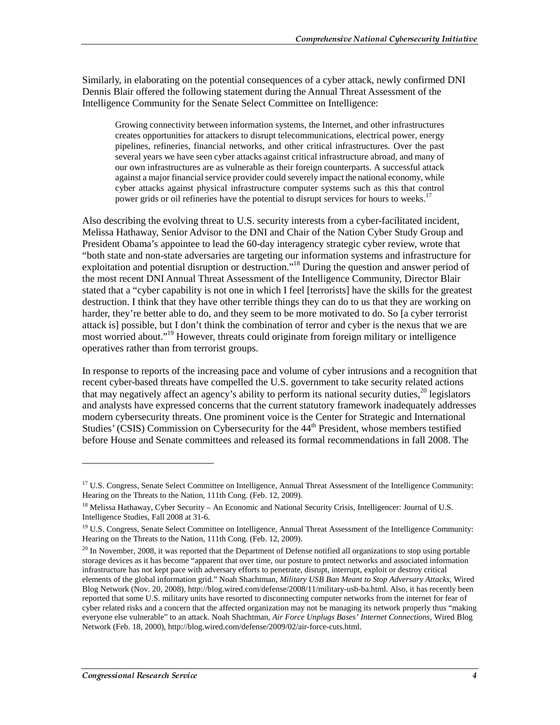Similarly, in elaborating on the potential consequences of a cyber attack, newly confirmed DNI Dennis Blair offered the following statement during the Annual Threat Assessment of the Intelligence Community for the Senate Select Committee on Intelligence:

Growing connectivity between information systems, the Internet, and other infrastructures creates opportunities for attackers to disrupt telecommunications, electrical power, energy pipelines, refineries, financial networks, and other critical infrastructures. Over the past several years we have seen cyber attacks against critical infrastructure abroad, and many of our own infrastructures are as vulnerable as their foreign counterparts. A successful attack against a major financial service provider could severely impact the national economy, while cyber attacks against physical infrastructure computer systems such as this that control power grids or oil refineries have the potential to disrupt services for hours to weeks.<sup>17</sup>

Also describing the evolving threat to U.S. security interests from a cyber-facilitated incident, Melissa Hathaway, Senior Advisor to the DNI and Chair of the Nation Cyber Study Group and President Obama's appointee to lead the 60-day interagency strategic cyber review, wrote that "both state and non-state adversaries are targeting our information systems and infrastructure for exploitation and potential disruption or destruction."18 During the question and answer period of the most recent DNI Annual Threat Assessment of the Intelligence Community, Director Blair stated that a "cyber capability is not one in which I feel [terrorists] have the skills for the greatest destruction. I think that they have other terrible things they can do to us that they are working on harder, they're better able to do, and they seem to be more motivated to do. So [a cyber terrorist attack is] possible, but I don't think the combination of terror and cyber is the nexus that we are most worried about."19 However, threats could originate from foreign military or intelligence operatives rather than from terrorist groups.

In response to reports of the increasing pace and volume of cyber intrusions and a recognition that recent cyber-based threats have compelled the U.S. government to take security related actions that may negatively affect an agency's ability to perform its national security duties,<sup>20</sup> legislators and analysts have expressed concerns that the current statutory framework inadequately addresses modern cybersecurity threats. One prominent voice is the Center for Strategic and International Studies' (CSIS) Commission on Cybersecurity for the 44<sup>th</sup> President, whose members testified before House and Senate committees and released its formal recommendations in fall 2008. The

<sup>&</sup>lt;sup>17</sup> U.S. Congress, Senate Select Committee on Intelligence, Annual Threat Assessment of the Intelligence Community: Hearing on the Threats to the Nation, 111th Cong. (Feb. 12, 2009).

<sup>&</sup>lt;sup>18</sup> Melissa Hathaway, Cyber Security – An Economic and National Security Crisis, Intelligencer: Journal of U.S. Intelligence Studies, Fall 2008 at 31-6.

<sup>&</sup>lt;sup>19</sup> U.S. Congress, Senate Select Committee on Intelligence, Annual Threat Assessment of the Intelligence Community: Hearing on the Threats to the Nation, 111th Cong. (Feb. 12, 2009).

<sup>&</sup>lt;sup>20</sup> In November, 2008, it was reported that the Department of Defense notified all organizations to stop using portable storage devices as it has become "apparent that over time, our posture to protect networks and associated information infrastructure has not kept pace with adversary efforts to penetrate, disrupt, interrupt, exploit or destroy critical elements of the global information grid." Noah Shachtman, *Military USB Ban Meant to Stop Adversary Attacks*, Wired Blog Network (Nov. 20, 2008), http://blog.wired.com/defense/2008/11/military-usb-ba.html. Also, it has recently been reported that some U.S. military units have resorted to disconnecting computer networks from the internet for fear of cyber related risks and a concern that the affected organization may not be managing its network properly thus "making everyone else vulnerable" to an attack. Noah Shachtman, *Air Force Unplugs Bases' Internet Connections*, Wired Blog Network (Feb. 18, 2000), http://blog.wired.com/defense/2009/02/air-force-cuts.html.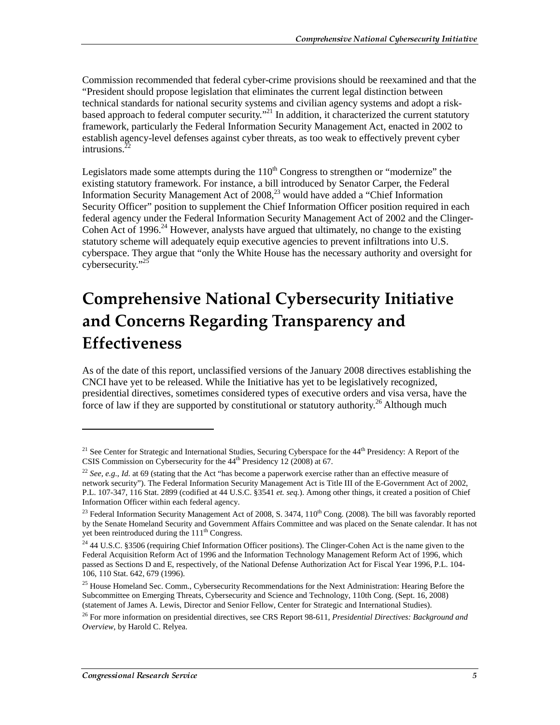Commission recommended that federal cyber-crime provisions should be reexamined and that the "President should propose legislation that eliminates the current legal distinction between technical standards for national security systems and civilian agency systems and adopt a riskbased approach to federal computer security."<sup>21</sup> In addition, it characterized the current statutory framework, particularly the Federal Information Security Management Act, enacted in 2002 to establish agency-level defenses against cyber threats, as too weak to effectively prevent cyber intrusions.<sup>22</sup>

Legislators made some attempts during the  $110<sup>th</sup>$  Congress to strengthen or "modernize" the existing statutory framework. For instance, a bill introduced by Senator Carper, the Federal Information Security Management Act of  $2008<sup>23</sup>$  would have added a "Chief Information" Security Officer" position to supplement the Chief Information Officer position required in each federal agency under the Federal Information Security Management Act of 2002 and the Clinger-Cohen Act of 1996.<sup>24</sup> However, analysts have argued that ultimately, no change to the existing statutory scheme will adequately equip executive agencies to prevent infiltrations into U.S. cyberspace. They argue that "only the White House has the necessary authority and oversight for cybersecurity."25

### **Comprehensive National Cybersecurity Initiative** and Concerns Regarding Transparency and **Effectiveness**

As of the date of this report, unclassified versions of the January 2008 directives establishing the CNCI have yet to be released. While the Initiative has yet to be legislatively recognized, presidential directives, sometimes considered types of executive orders and visa versa, have the force of law if they are supported by constitutional or statutory authority.<sup>26</sup> Although much

<sup>&</sup>lt;sup>21</sup> See Center for Strategic and International Studies, Securing Cyberspace for the  $44<sup>th</sup>$  Presidency: A Report of the CSIS Commission on Cybersecurity for the 44th Presidency 12 (2008) at 67.

<sup>&</sup>lt;sup>22</sup> *See, e.g., Id.* at 69 (stating that the Act "has become a paperwork exercise rather than an effective measure of network security"). The Federal Information Security Management Act is Title III of the E-Government Act of 2002, P.L. 107-347, 116 Stat. 2899 (codified at 44 U.S.C. §3541 *et. seq.*). Among other things, it created a position of Chief Information Officer within each federal agency.

 $^{23}$  Federal Information Security Management Act of 2008, S. 3474,  $110^{th}$  Cong. (2008). The bill was favorably reported by the Senate Homeland Security and Government Affairs Committee and was placed on the Senate calendar. It has not yet been reintroduced during the 111<sup>th</sup> Congress.

<sup>&</sup>lt;sup>24</sup> 44 U.S.C. §3506 (requiring Chief Information Officer positions). The Clinger-Cohen Act is the name given to the Federal Acquisition Reform Act of 1996 and the Information Technology Management Reform Act of 1996, which passed as Sections D and E, respectively, of the National Defense Authorization Act for Fiscal Year 1996, P.L. 104- 106, 110 Stat. 642, 679 (1996).

<sup>&</sup>lt;sup>25</sup> House Homeland Sec. Comm., Cybersecurity Recommendations for the Next Administration: Hearing Before the Subcommittee on Emerging Threats, Cybersecurity and Science and Technology, 110th Cong. (Sept. 16, 2008) (statement of James A. Lewis, Director and Senior Fellow, Center for Strategic and International Studies).

<sup>26</sup> For more information on presidential directives, see CRS Report 98-611, *Presidential Directives: Background and Overview*, by Harold C. Relyea.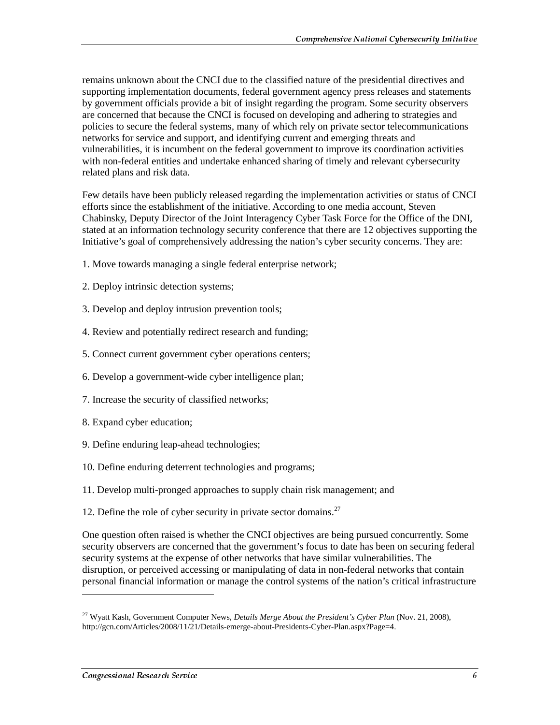remains unknown about the CNCI due to the classified nature of the presidential directives and supporting implementation documents, federal government agency press releases and statements by government officials provide a bit of insight regarding the program. Some security observers are concerned that because the CNCI is focused on developing and adhering to strategies and policies to secure the federal systems, many of which rely on private sector telecommunications networks for service and support, and identifying current and emerging threats and vulnerabilities, it is incumbent on the federal government to improve its coordination activities with non-federal entities and undertake enhanced sharing of timely and relevant cybersecurity related plans and risk data.

Few details have been publicly released regarding the implementation activities or status of CNCI efforts since the establishment of the initiative. According to one media account, Steven Chabinsky, Deputy Director of the Joint Interagency Cyber Task Force for the Office of the DNI, stated at an information technology security conference that there are 12 objectives supporting the Initiative's goal of comprehensively addressing the nation's cyber security concerns. They are:

- 1. Move towards managing a single federal enterprise network;
- 2. Deploy intrinsic detection systems;
- 3. Develop and deploy intrusion prevention tools;
- 4. Review and potentially redirect research and funding;
- 5. Connect current government cyber operations centers;
- 6. Develop a government-wide cyber intelligence plan;
- 7. Increase the security of classified networks;
- 8. Expand cyber education;
- 9. Define enduring leap-ahead technologies;
- 10. Define enduring deterrent technologies and programs;
- 11. Develop multi-pronged approaches to supply chain risk management; and
- 12. Define the role of cyber security in private sector domains.<sup>27</sup>

One question often raised is whether the CNCI objectives are being pursued concurrently. Some security observers are concerned that the government's focus to date has been on securing federal security systems at the expense of other networks that have similar vulnerabilities. The disruption, or perceived accessing or manipulating of data in non-federal networks that contain personal financial information or manage the control systems of the nation's critical infrastructure

<sup>27</sup> Wyatt Kash, Government Computer News, *Details Merge About the President's Cyber Plan* (Nov. 21, 2008), http://gcn.com/Articles/2008/11/21/Details-emerge-about-Presidents-Cyber-Plan.aspx?Page=4.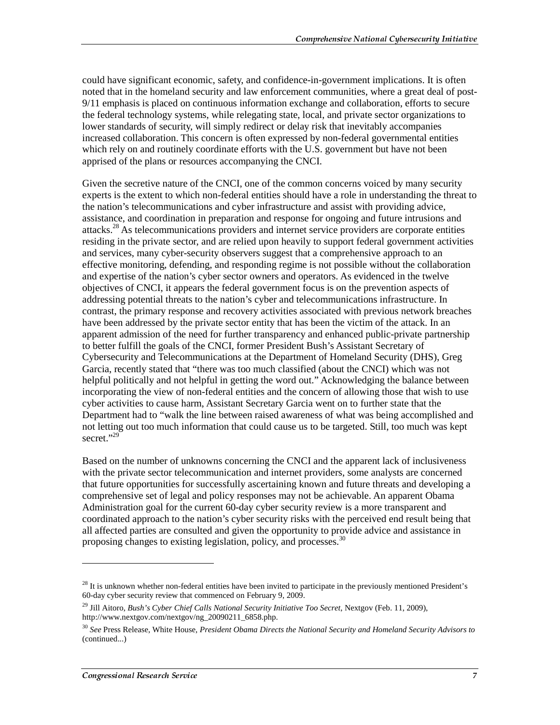could have significant economic, safety, and confidence-in-government implications. It is often noted that in the homeland security and law enforcement communities, where a great deal of post-9/11 emphasis is placed on continuous information exchange and collaboration, efforts to secure the federal technology systems, while relegating state, local, and private sector organizations to lower standards of security, will simply redirect or delay risk that inevitably accompanies increased collaboration. This concern is often expressed by non-federal governmental entities which rely on and routinely coordinate efforts with the U.S. government but have not been apprised of the plans or resources accompanying the CNCI.

Given the secretive nature of the CNCI, one of the common concerns voiced by many security experts is the extent to which non-federal entities should have a role in understanding the threat to the nation's telecommunications and cyber infrastructure and assist with providing advice, assistance, and coordination in preparation and response for ongoing and future intrusions and attacks.<sup>28</sup> As telecommunications providers and internet service providers are corporate entities residing in the private sector, and are relied upon heavily to support federal government activities and services, many cyber-security observers suggest that a comprehensive approach to an effective monitoring, defending, and responding regime is not possible without the collaboration and expertise of the nation's cyber sector owners and operators. As evidenced in the twelve objectives of CNCI, it appears the federal government focus is on the prevention aspects of addressing potential threats to the nation's cyber and telecommunications infrastructure. In contrast, the primary response and recovery activities associated with previous network breaches have been addressed by the private sector entity that has been the victim of the attack. In an apparent admission of the need for further transparency and enhanced public-private partnership to better fulfill the goals of the CNCI, former President Bush's Assistant Secretary of Cybersecurity and Telecommunications at the Department of Homeland Security (DHS), Greg Garcia, recently stated that "there was too much classified (about the CNCI) which was not helpful politically and not helpful in getting the word out." Acknowledging the balance between incorporating the view of non-federal entities and the concern of allowing those that wish to use cyber activities to cause harm, Assistant Secretary Garcia went on to further state that the Department had to "walk the line between raised awareness of what was being accomplished and not letting out too much information that could cause us to be targeted. Still, too much was kept secret."<sup>29</sup>

Based on the number of unknowns concerning the CNCI and the apparent lack of inclusiveness with the private sector telecommunication and internet providers, some analysts are concerned that future opportunities for successfully ascertaining known and future threats and developing a comprehensive set of legal and policy responses may not be achievable. An apparent Obama Administration goal for the current 60-day cyber security review is a more transparent and coordinated approach to the nation's cyber security risks with the perceived end result being that all affected parties are consulted and given the opportunity to provide advice and assistance in proposing changes to existing legislation, policy, and processes.<sup>30</sup>

 $^{28}$  It is unknown whether non-federal entities have been invited to participate in the previously mentioned President's 60-day cyber security review that commenced on February 9, 2009.

<sup>29</sup> Jill Aitoro, *Bush's Cyber Chief Calls National Security Initiative Too Secret*, Nextgov (Feb. 11, 2009), http://www.nextgov.com/nextgov/ng\_20090211\_6858.php.

<sup>30</sup> *See* Press Release, White House, *President Obama Directs the National Security and Homeland Security Advisors to*  (continued...)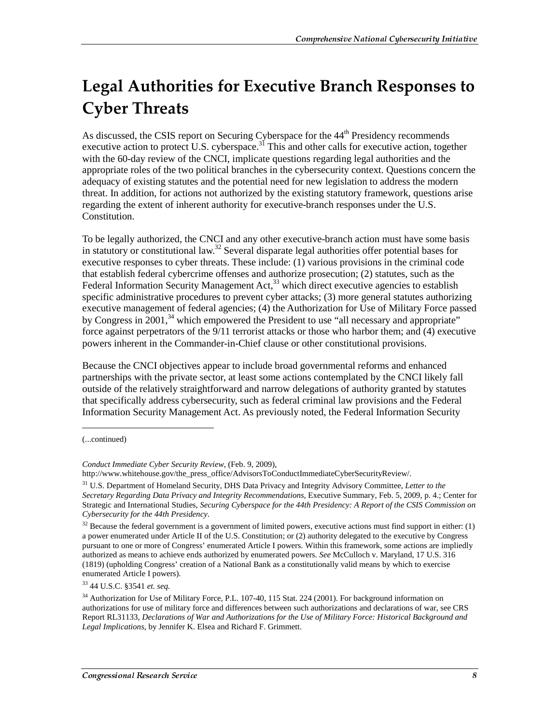# Legal Authorities for Executive Branch Responses to **Cyber Threats**

As discussed, the CSIS report on Securing Cyberspace for the  $44<sup>th</sup>$  Presidency recommends executive action to protect U.S. cyberspace.<sup>31</sup> This and other calls for executive action, together with the 60-day review of the CNCI, implicate questions regarding legal authorities and the appropriate roles of the two political branches in the cybersecurity context. Questions concern the adequacy of existing statutes and the potential need for new legislation to address the modern threat. In addition, for actions not authorized by the existing statutory framework, questions arise regarding the extent of inherent authority for executive-branch responses under the U.S. Constitution.

To be legally authorized, the CNCI and any other executive-branch action must have some basis in statutory or constitutional law.<sup>32</sup> Several disparate legal authorities offer potential bases for executive responses to cyber threats. These include: (1) various provisions in the criminal code that establish federal cybercrime offenses and authorize prosecution; (2) statutes, such as the Federal Information Security Management Act,  $33$  which direct executive agencies to establish specific administrative procedures to prevent cyber attacks; (3) more general statutes authorizing executive management of federal agencies; (4) the Authorization for Use of Military Force passed by Congress in  $2001<sup>34</sup>$  which empowered the President to use "all necessary and appropriate" force against perpetrators of the 9/11 terrorist attacks or those who harbor them; and (4) executive powers inherent in the Commander-in-Chief clause or other constitutional provisions.

Because the CNCI objectives appear to include broad governmental reforms and enhanced partnerships with the private sector, at least some actions contemplated by the CNCI likely fall outside of the relatively straightforward and narrow delegations of authority granted by statutes that specifically address cybersecurity, such as federal criminal law provisions and the Federal Information Security Management Act. As previously noted, the Federal Information Security

<sup>(...</sup>continued)

*Conduct Immediate Cyber Security Review*, (Feb. 9, 2009),

http://www.whitehouse.gov/the\_press\_office/AdvisorsToConductImmediateCyberSecurityReview/.

<sup>31</sup> U.S. Department of Homeland Security, DHS Data Privacy and Integrity Advisory Committee, *Letter to the Secretary Regarding Data Privacy and Integrity Recommendations*, Executive Summary, Feb. 5, 2009, p. 4.; Center for Strategic and International Studies, *Securing Cyberspace for the 44th Presidency: A Report of the CSIS Commission on Cybersecurity for the 44th Presidency*.

 $32$  Because the federal government is a government of limited powers, executive actions must find support in either: (1) a power enumerated under Article II of the U.S. Constitution; or (2) authority delegated to the executive by Congress pursuant to one or more of Congress' enumerated Article I powers. Within this framework, some actions are impliedly authorized as means to achieve ends authorized by enumerated powers. *See* McCulloch v. Maryland, 17 U.S. 316 (1819) (upholding Congress' creation of a National Bank as a constitutionally valid means by which to exercise enumerated Article I powers).

<sup>33 44</sup> U.S.C. §3541 *et. seq.*

<sup>&</sup>lt;sup>34</sup> Authorization for Use of Military Force, P.L. 107-40, 115 Stat. 224 (2001). For background information on authorizations for use of military force and differences between such authorizations and declarations of war, see CRS Report RL31133, *Declarations of War and Authorizations for the Use of Military Force: Historical Background and Legal Implications*, by Jennifer K. Elsea and Richard F. Grimmett.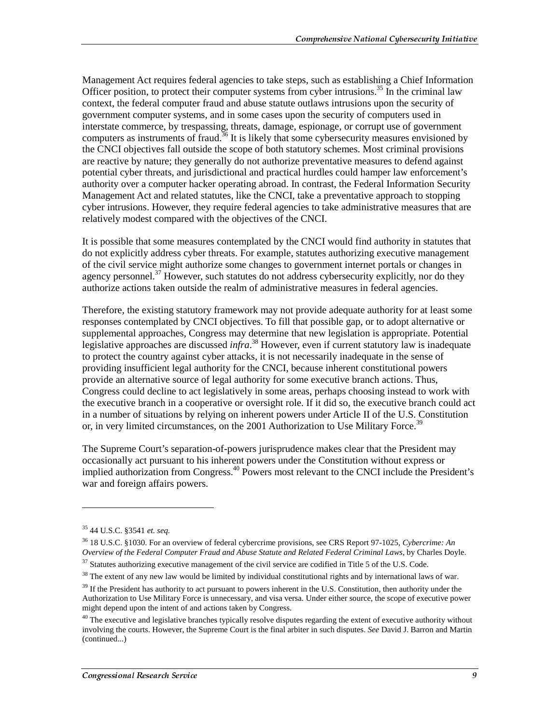Management Act requires federal agencies to take steps, such as establishing a Chief Information Officer position, to protect their computer systems from cyber intrusions.<sup>35</sup> In the criminal law context, the federal computer fraud and abuse statute outlaws intrusions upon the security of government computer systems, and in some cases upon the security of computers used in interstate commerce, by trespassing, threats, damage, espionage, or corrupt use of government computers as instruments of fraud.<sup>36</sup> It is likely that some cybersecurity measures envisioned by the CNCI objectives fall outside the scope of both statutory schemes. Most criminal provisions are reactive by nature; they generally do not authorize preventative measures to defend against potential cyber threats, and jurisdictional and practical hurdles could hamper law enforcement's authority over a computer hacker operating abroad. In contrast, the Federal Information Security Management Act and related statutes, like the CNCI, take a preventative approach to stopping cyber intrusions. However, they require federal agencies to take administrative measures that are relatively modest compared with the objectives of the CNCI.

It is possible that some measures contemplated by the CNCI would find authority in statutes that do not explicitly address cyber threats. For example, statutes authorizing executive management of the civil service might authorize some changes to government internet portals or changes in agency personnel.<sup>37</sup> However, such statutes do not address cybersecurity explicitly, nor do they authorize actions taken outside the realm of administrative measures in federal agencies.

Therefore, the existing statutory framework may not provide adequate authority for at least some responses contemplated by CNCI objectives. To fill that possible gap, or to adopt alternative or supplemental approaches, Congress may determine that new legislation is appropriate. Potential legislative approaches are discussed *infra*. 38 However, even if current statutory law is inadequate to protect the country against cyber attacks, it is not necessarily inadequate in the sense of providing insufficient legal authority for the CNCI, because inherent constitutional powers provide an alternative source of legal authority for some executive branch actions. Thus, Congress could decline to act legislatively in some areas, perhaps choosing instead to work with the executive branch in a cooperative or oversight role. If it did so, the executive branch could act in a number of situations by relying on inherent powers under Article II of the U.S. Constitution or, in very limited circumstances, on the 2001 Authorization to Use Military Force.<sup>39</sup>

The Supreme Court's separation-of-powers jurisprudence makes clear that the President may occasionally act pursuant to his inherent powers under the Constitution without express or implied authorization from Congress.<sup>40</sup> Powers most relevant to the CNCI include the President's war and foreign affairs powers.

<sup>35 44</sup> U.S.C. §3541 *et. seq.*

<sup>36 18</sup> U.S.C. §1030. For an overview of federal cybercrime provisions, see CRS Report 97-1025, *Cybercrime: An Overview of the Federal Computer Fraud and Abuse Statute and Related Federal Criminal Laws*, by Charles Doyle.

 $37$  Statutes authorizing executive management of the civil service are codified in Title 5 of the U.S. Code.

 $38$  The extent of any new law would be limited by individual constitutional rights and by international laws of war.

<sup>&</sup>lt;sup>39</sup> If the President has authority to act pursuant to powers inherent in the U.S. Constitution, then authority under the Authorization to Use Military Force is unnecessary, and visa versa. Under either source, the scope of executive power might depend upon the intent of and actions taken by Congress.

 $40$  The executive and legislative branches typically resolve disputes regarding the extent of executive authority without involving the courts. However, the Supreme Court is the final arbiter in such disputes. *See* David J. Barron and Martin (continued...)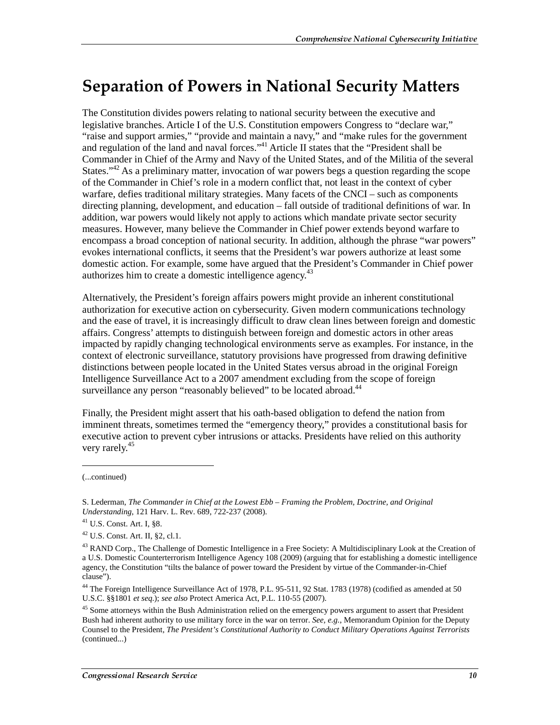#### Separation of Powers in National Security Matters

The Constitution divides powers relating to national security between the executive and legislative branches. Article I of the U.S. Constitution empowers Congress to "declare war," "raise and support armies," "provide and maintain a navy," and "make rules for the government" and regulation of the land and naval forces."<sup>41</sup> Article II states that the "President shall be Commander in Chief of the Army and Navy of the United States, and of the Militia of the several States."<sup>42</sup> As a preliminary matter, invocation of war powers begs a question regarding the scope of the Commander in Chief's role in a modern conflict that, not least in the context of cyber warfare, defies traditional military strategies. Many facets of the CNCI – such as components directing planning, development, and education – fall outside of traditional definitions of war. In addition, war powers would likely not apply to actions which mandate private sector security measures. However, many believe the Commander in Chief power extends beyond warfare to encompass a broad conception of national security. In addition, although the phrase "war powers" evokes international conflicts, it seems that the President's war powers authorize at least some domestic action. For example, some have argued that the President's Commander in Chief power authorizes him to create a domestic intelligence agency.<sup>43</sup>

Alternatively, the President's foreign affairs powers might provide an inherent constitutional authorization for executive action on cybersecurity. Given modern communications technology and the ease of travel, it is increasingly difficult to draw clean lines between foreign and domestic affairs. Congress' attempts to distinguish between foreign and domestic actors in other areas impacted by rapidly changing technological environments serve as examples. For instance, in the context of electronic surveillance, statutory provisions have progressed from drawing definitive distinctions between people located in the United States versus abroad in the original Foreign Intelligence Surveillance Act to a 2007 amendment excluding from the scope of foreign surveillance any person "reasonably believed" to be located abroad.<sup>44</sup>

Finally, the President might assert that his oath-based obligation to defend the nation from imminent threats, sometimes termed the "emergency theory," provides a constitutional basis for executive action to prevent cyber intrusions or attacks. Presidents have relied on this authority very rarely.<sup>45</sup>

j

<sup>(...</sup>continued)

S. Lederman, *The Commander in Chief at the Lowest Ebb – Framing the Problem, Doctrine, and Original Understanding*, 121 Harv. L. Rev. 689, 722-237 (2008).

<sup>41</sup> U.S. Const. Art. I, §8.

<sup>42</sup> U.S. Const. Art. II, §2, cl.1.

<sup>&</sup>lt;sup>43</sup> RAND Corp., The Challenge of Domestic Intelligence in a Free Society: A Multidisciplinary Look at the Creation of a U.S. Domestic Counterterrorism Intelligence Agency 108 (2009) (arguing that for establishing a domestic intelligence agency, the Constitution "tilts the balance of power toward the President by virtue of the Commander-in-Chief clause").

<sup>&</sup>lt;sup>44</sup> The Foreign Intelligence Surveillance Act of 1978, P.L. 95-511, 92 Stat. 1783 (1978) (codified as amended at 50 U.S.C. §§1801 *et seq*.); *see also* Protect America Act, P.L. 110-55 (2007).

<sup>&</sup>lt;sup>45</sup> Some attorneys within the Bush Administration relied on the emergency powers argument to assert that President Bush had inherent authority to use military force in the war on terror. *See, e.g.*, Memorandum Opinion for the Deputy Counsel to the President, *The President's Constitutional Authority to Conduct Military Operations Against Terrorists*  (continued...)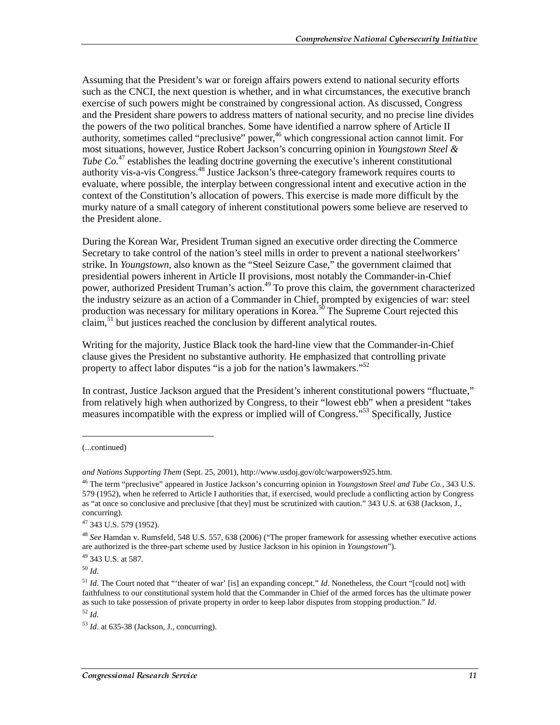Assuming that the President's war or foreign affairs powers extend to national security efforts such as the CNCI, the next question is whether, and in what circumstances, the executive branch exercise of such powers might be constrained by congressional action. As discussed, Congress and the President share powers to address matters of national security, and no precise line divides the powers of the two political branches. Some have identified a narrow sphere of Article II authority, sometimes called "preclusive" power,<sup>46</sup> which congressional action cannot limit. For most situations, however, Justice Robert Jackson's concurring opinion in *Youngstown Steel & Tube Co.*<sup>47</sup> establishes the leading doctrine governing the executive's inherent constitutional authority vis-a-vis Congress.<sup>48</sup> Justice Jackson's three-category framework requires courts to evaluate, where possible, the interplay between congressional intent and executive action in the context of the Constitution's allocation of powers. This exercise is made more difficult by the murky nature of a small category of inherent constitutional powers some believe are reserved to the President alone.

During the Korean War, President Truman signed an executive order directing the Commerce Secretary to take control of the nation's steel mills in order to prevent a national steelworkers' strike. In *Youngstown*, also known as the "Steel Seizure Case," the government claimed that presidential powers inherent in Article II provisions, most notably the Commander-in-Chief power, authorized President Truman's action.<sup>49</sup> To prove this claim, the government characterized the industry seizure as an action of a Commander in Chief, prompted by exigencies of war: steel production was necessary for military operations in Korea.<sup>50</sup> The Supreme Court rejected this claim,<sup>51</sup> but justices reached the conclusion by different analytical routes.

Writing for the majority, Justice Black took the hard-line view that the Commander-in-Chief clause gives the President no substantive authority. He emphasized that controlling private property to affect labor disputes "is a job for the nation's lawmakers."<sup>52</sup>

In contrast, Justice Jackson argued that the President's inherent constitutional powers "fluctuate," from relatively high when authorized by Congress, to their "lowest ebb" when a president "takes measures incompatible with the express or implied will of Congress."53 Specifically, Justice

j

<sup>50</sup> *Id*.

<sup>52</sup> *Id*.

<sup>(...</sup>continued)

*and Nations Supporting Them* (Sept. 25, 2001), http://www.usdoj.gov/olc/warpowers925.htm.

<sup>46</sup> The term "preclusive" appeared in Justice Jackson's concurring opinion in *Youngstown Steel and Tube Co.*, 343 U.S. 579 (1952), when he referred to Article I authorities that, if exercised, would preclude a conflicting action by Congress as "at once so conclusive and preclusive [that they] must be scrutinized with caution." 343 U.S. at 638 (Jackson, J., concurring).

<sup>47 343</sup> U.S. 579 (1952).

<sup>48</sup> *See* Hamdan v. Rumsfeld, 548 U.S. 557, 638 (2006) ("The proper framework for assessing whether executive actions are authorized is the three-part scheme used by Justice Jackson in his opinion in *Youngstown*").

<sup>49 343</sup> U.S. at 587.

<sup>51</sup> *Id*. The Court noted that "'theater of war' [is] an expanding concept." *Id*. Nonetheless, the Court "[could not] with faithfulness to our constitutional system hold that the Commander in Chief of the armed forces has the ultimate power as such to take possession of private property in order to keep labor disputes from stopping production." *Id*.

<sup>53</sup> *Id*. at 635-38 (Jackson, J., concurring).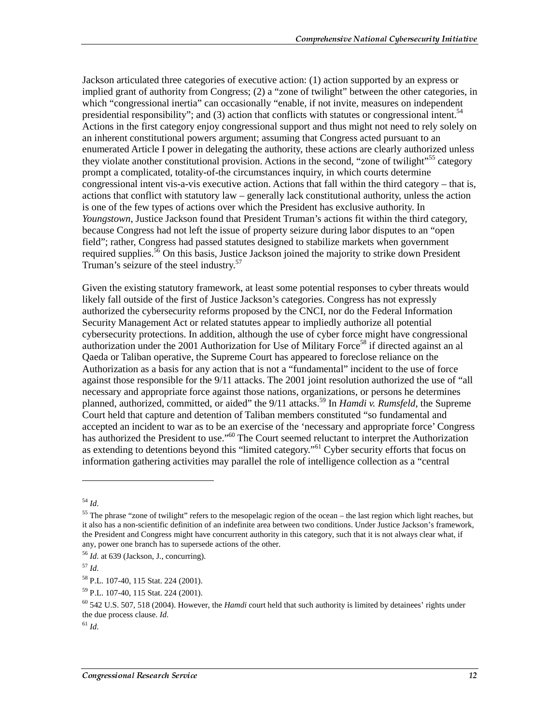Jackson articulated three categories of executive action: (1) action supported by an express or implied grant of authority from Congress; (2) a "zone of twilight" between the other categories, in which "congressional inertia" can occasionally "enable, if not invite, measures on independent presidential responsibility"; and  $(3)$  action that conflicts with statutes or congressional intent.<sup>54</sup> Actions in the first category enjoy congressional support and thus might not need to rely solely on an inherent constitutional powers argument; assuming that Congress acted pursuant to an enumerated Article I power in delegating the authority, these actions are clearly authorized unless they violate another constitutional provision. Actions in the second, "zone of twilight"<sup>55</sup> category prompt a complicated, totality-of-the circumstances inquiry, in which courts determine congressional intent vis-a-vis executive action. Actions that fall within the third category – that is, actions that conflict with statutory law – generally lack constitutional authority, unless the action is one of the few types of actions over which the President has exclusive authority. In *Youngstown*, Justice Jackson found that President Truman's actions fit within the third category, because Congress had not left the issue of property seizure during labor disputes to an "open field"; rather, Congress had passed statutes designed to stabilize markets when government required supplies.<sup>56</sup> On this basis, Justice Jackson joined the majority to strike down President Truman's seizure of the steel industry.57

Given the existing statutory framework, at least some potential responses to cyber threats would likely fall outside of the first of Justice Jackson's categories. Congress has not expressly authorized the cybersecurity reforms proposed by the CNCI, nor do the Federal Information Security Management Act or related statutes appear to impliedly authorize all potential cybersecurity protections. In addition, although the use of cyber force might have congressional authorization under the 2001 Authorization for Use of Military Force<sup>58</sup> if directed against an al Qaeda or Taliban operative, the Supreme Court has appeared to foreclose reliance on the Authorization as a basis for any action that is not a "fundamental" incident to the use of force against those responsible for the 9/11 attacks. The 2001 joint resolution authorized the use of "all necessary and appropriate force against those nations, organizations, or persons he determines planned, authorized, committed, or aided" the 9/11 attacks.<sup>59</sup> In *Hamdi v. Rumsfeld*, the Supreme Court held that capture and detention of Taliban members constituted "so fundamental and accepted an incident to war as to be an exercise of the 'necessary and appropriate force' Congress has authorized the President to use."<sup>60</sup> The Court seemed reluctant to interpret the Authorization as extending to detentions beyond this "limited category."61 Cyber security efforts that focus on information gathering activities may parallel the role of intelligence collection as a "central

<sup>54</sup> *Id*.

<sup>&</sup>lt;sup>55</sup> The phrase "zone of twilight" refers to the mesopelagic region of the ocean – the last region which light reaches, but it also has a non-scientific definition of an indefinite area between two conditions. Under Justice Jackson's framework, the President and Congress might have concurrent authority in this category, such that it is not always clear what, if any, power one branch has to supersede actions of the other.

<sup>56</sup> *Id*. at 639 (Jackson, J., concurring).

<sup>57</sup> *Id*.

<sup>58</sup> P.L. 107-40, 115 Stat. 224 (2001).

<sup>59</sup> P.L. 107-40, 115 Stat. 224 (2001).

<sup>60 542</sup> U.S. 507, 518 (2004). However, the *Hamdi* court held that such authority is limited by detainees' rights under the due process clause. *Id*.

 $^{61}$  *Id*.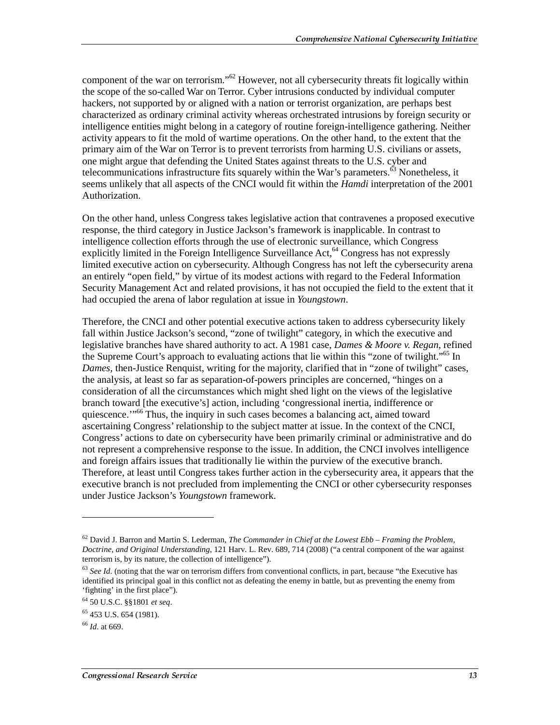component of the war on terrorism."62 However, not all cybersecurity threats fit logically within the scope of the so-called War on Terror. Cyber intrusions conducted by individual computer hackers, not supported by or aligned with a nation or terrorist organization, are perhaps best characterized as ordinary criminal activity whereas orchestrated intrusions by foreign security or intelligence entities might belong in a category of routine foreign-intelligence gathering. Neither activity appears to fit the mold of wartime operations. On the other hand, to the extent that the primary aim of the War on Terror is to prevent terrorists from harming U.S. civilians or assets, one might argue that defending the United States against threats to the U.S. cyber and telecommunications infrastructure fits squarely within the War's parameters.<sup>63</sup> Nonetheless, it seems unlikely that all aspects of the CNCI would fit within the *Hamdi* interpretation of the 2001 Authorization.

On the other hand, unless Congress takes legislative action that contravenes a proposed executive response, the third category in Justice Jackson's framework is inapplicable. In contrast to intelligence collection efforts through the use of electronic surveillance, which Congress explicitly limited in the Foreign Intelligence Surveillance Act,  $64$  Congress has not expressly limited executive action on cybersecurity. Although Congress has not left the cybersecurity arena an entirely "open field," by virtue of its modest actions with regard to the Federal Information Security Management Act and related provisions, it has not occupied the field to the extent that it had occupied the arena of labor regulation at issue in *Youngstown*.

Therefore, the CNCI and other potential executive actions taken to address cybersecurity likely fall within Justice Jackson's second, "zone of twilight" category, in which the executive and legislative branches have shared authority to act. A 1981 case, *Dames & Moore v. Regan*, refined the Supreme Court's approach to evaluating actions that lie within this "zone of twilight."<sup>65</sup> In *Dames*, then-Justice Renquist, writing for the majority, clarified that in "zone of twilight" cases, the analysis, at least so far as separation-of-powers principles are concerned, "hinges on a consideration of all the circumstances which might shed light on the views of the legislative branch toward [the executive's] action, including 'congressional inertia, indifference or quiescence.'"<sup>66</sup> Thus, the inquiry in such cases becomes a balancing act, aimed toward ascertaining Congress' relationship to the subject matter at issue. In the context of the CNCI, Congress' actions to date on cybersecurity have been primarily criminal or administrative and do not represent a comprehensive response to the issue. In addition, the CNCI involves intelligence and foreign affairs issues that traditionally lie within the purview of the executive branch. Therefore, at least until Congress takes further action in the cybersecurity area, it appears that the executive branch is not precluded from implementing the CNCI or other cybersecurity responses under Justice Jackson's *Youngstown* framework.

<sup>62</sup> David J. Barron and Martin S. Lederman, *The Commander in Chief at the Lowest Ebb – Framing the Problem, Doctrine, and Original Understanding*, 121 Harv. L. Rev. 689, 714 (2008) ("a central component of the war against terrorism is, by its nature, the collection of intelligence").

<sup>&</sup>lt;sup>63</sup> See Id. (noting that the war on terrorism differs from conventional conflicts, in part, because "the Executive has identified its principal goal in this conflict not as defeating the enemy in battle, but as preventing the enemy from 'fighting' in the first place").

<sup>64 50</sup> U.S.C. §§1801 *et seq*.

<sup>65 453</sup> U.S. 654 (1981).

<sup>66</sup> *Id*. at 669.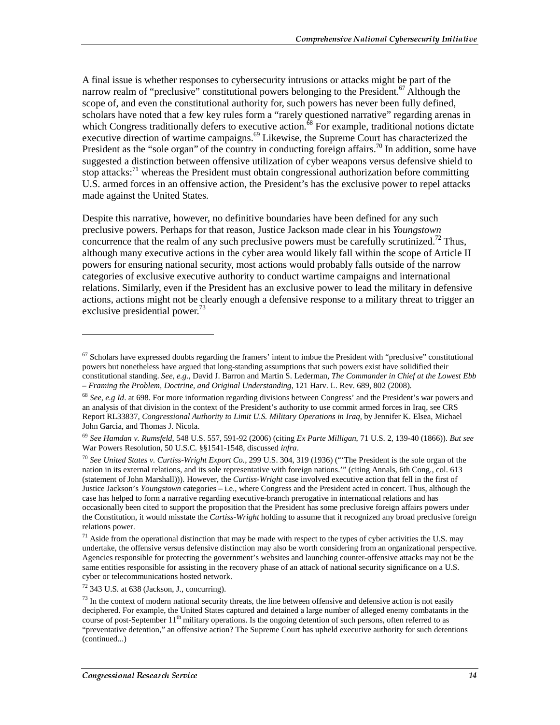A final issue is whether responses to cybersecurity intrusions or attacks might be part of the narrow realm of "preclusive" constitutional powers belonging to the President.<sup>67</sup> Although the scope of, and even the constitutional authority for, such powers has never been fully defined, scholars have noted that a few key rules form a "rarely questioned narrative" regarding arenas in which Congress traditionally defers to executive action.<sup>68</sup> For example, traditional notions dictate executive direction of wartime campaigns.<sup>69</sup> Likewise, the Supreme Court has characterized the President as the "sole organ" of the country in conducting foreign affairs.<sup>70</sup> In addition, some have suggested a distinction between offensive utilization of cyber weapons versus defensive shield to stop attacks:<sup>71</sup> whereas the President must obtain congressional authorization before committing U.S. armed forces in an offensive action, the President's has the exclusive power to repel attacks made against the United States.

Despite this narrative, however, no definitive boundaries have been defined for any such preclusive powers. Perhaps for that reason, Justice Jackson made clear in his *Youngstown* concurrence that the realm of any such preclusive powers must be carefully scrutinized.<sup>72</sup> Thus, although many executive actions in the cyber area would likely fall within the scope of Article II powers for ensuring national security, most actions would probably falls outside of the narrow categories of exclusive executive authority to conduct wartime campaigns and international relations. Similarly, even if the President has an exclusive power to lead the military in defensive actions, actions might not be clearly enough a defensive response to a military threat to trigger an exclusive presidential power.<sup>73</sup>

 $67$  Scholars have expressed doubts regarding the framers' intent to imbue the President with "preclusive" constitutional powers but nonetheless have argued that long-standing assumptions that such powers exist have solidified their constitutional standing. *See, e.g.*, David J. Barron and Martin S. Lederman, *The Commander in Chief at the Lowest Ebb – Framing the Problem, Doctrine, and Original Understanding*, 121 Harv. L. Rev. 689, 802 (2008).

<sup>68</sup> *See, e.g Id*. at 698. For more information regarding divisions between Congress' and the President's war powers and an analysis of that division in the context of the President's authority to use commit armed forces in Iraq, see CRS Report RL33837, *Congressional Authority to Limit U.S. Military Operations in Iraq*, by Jennifer K. Elsea, Michael John Garcia, and Thomas J. Nicola.

<sup>69</sup> *See Hamdan v. Rumsfeld*, 548 U.S. 557, 591-92 (2006) (citing *Ex Parte Milligan*, 71 U.S. 2, 139-40 (1866)). *But see*  War Powers Resolution, 50 U.S.C. §§1541-1548, discussed *infra*.

<sup>70</sup> *See United States v. Curtiss-Wright Export Co.*, 299 U.S. 304, 319 (1936) ("'The President is the sole organ of the nation in its external relations, and its sole representative with foreign nations.'" (citing Annals, 6th Cong., col. 613 (statement of John Marshall))). However, the *Curtiss-Wright* case involved executive action that fell in the first of Justice Jackson's *Youngstown* categories – i.e., where Congress and the President acted in concert. Thus, although the case has helped to form a narrative regarding executive-branch prerogative in international relations and has occasionally been cited to support the proposition that the President has some preclusive foreign affairs powers under the Constitution, it would misstate the *Curtiss-Wright* holding to assume that it recognized any broad preclusive foreign relations power.

 $71$  Aside from the operational distinction that may be made with respect to the types of cyber activities the U.S. may undertake, the offensive versus defensive distinction may also be worth considering from an organizational perspective. Agencies responsible for protecting the government's websites and launching counter-offensive attacks may not be the same entities responsible for assisting in the recovery phase of an attack of national security significance on a U.S. cyber or telecommunications hosted network.

 $72$  343 U.S. at 638 (Jackson, J., concurring).

 $73$  In the context of modern national security threats, the line between offensive and defensive action is not easily deciphered. For example, the United States captured and detained a large number of alleged enemy combatants in the course of post-September  $11<sup>th</sup>$  military operations. Is the ongoing detention of such persons, often referred to as "preventative detention," an offensive action? The Supreme Court has upheld executive authority for such detentions (continued...)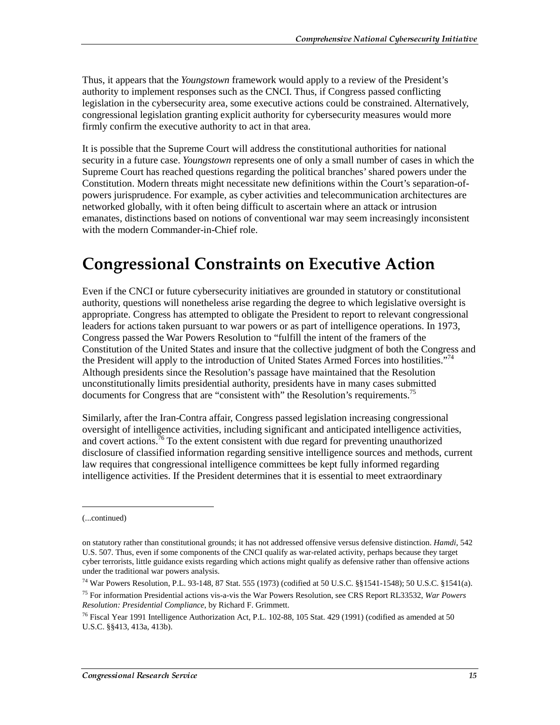Thus, it appears that the *Youngstown* framework would apply to a review of the President's authority to implement responses such as the CNCI. Thus, if Congress passed conflicting legislation in the cybersecurity area, some executive actions could be constrained. Alternatively, congressional legislation granting explicit authority for cybersecurity measures would more firmly confirm the executive authority to act in that area.

It is possible that the Supreme Court will address the constitutional authorities for national security in a future case. *Youngstown* represents one of only a small number of cases in which the Supreme Court has reached questions regarding the political branches' shared powers under the Constitution. Modern threats might necessitate new definitions within the Court's separation-ofpowers jurisprudence. For example, as cyber activities and telecommunication architectures are networked globally, with it often being difficult to ascertain where an attack or intrusion emanates, distinctions based on notions of conventional war may seem increasingly inconsistent with the modern Commander-in-Chief role.

#### **Congressional Constraints on Executive Action**

Even if the CNCI or future cybersecurity initiatives are grounded in statutory or constitutional authority, questions will nonetheless arise regarding the degree to which legislative oversight is appropriate. Congress has attempted to obligate the President to report to relevant congressional leaders for actions taken pursuant to war powers or as part of intelligence operations. In 1973, Congress passed the War Powers Resolution to "fulfill the intent of the framers of the Constitution of the United States and insure that the collective judgment of both the Congress and the President will apply to the introduction of United States Armed Forces into hostilities."<sup>74</sup> Although presidents since the Resolution's passage have maintained that the Resolution unconstitutionally limits presidential authority, presidents have in many cases submitted documents for Congress that are "consistent with" the Resolution's requirements.<sup>75</sup>

Similarly, after the Iran-Contra affair, Congress passed legislation increasing congressional oversight of intelligence activities, including significant and anticipated intelligence activities, and covert actions.<sup>76</sup> To the extent consistent with due regard for preventing unauthorized disclosure of classified information regarding sensitive intelligence sources and methods, current law requires that congressional intelligence committees be kept fully informed regarding intelligence activities. If the President determines that it is essential to meet extraordinary

<sup>(...</sup>continued)

on statutory rather than constitutional grounds; it has not addressed offensive versus defensive distinction. *Hamdi*, 542 U.S. 507. Thus, even if some components of the CNCI qualify as war-related activity, perhaps because they target cyber terrorists, little guidance exists regarding which actions might qualify as defensive rather than offensive actions under the traditional war powers analysis.

<sup>74</sup> War Powers Resolution, P.L. 93-148, 87 Stat. 555 (1973) (codified at 50 U.S.C. §§1541-1548); 50 U.S.C. §1541(a).

<sup>75</sup> For information Presidential actions vis-a-vis the War Powers Resolution, see CRS Report RL33532, *War Powers Resolution: Presidential Compliance*, by Richard F. Grimmett.

<sup>&</sup>lt;sup>76</sup> Fiscal Year 1991 Intelligence Authorization Act, P.L. 102-88, 105 Stat. 429 (1991) (codified as amended at 50 U.S.C. §§413, 413a, 413b).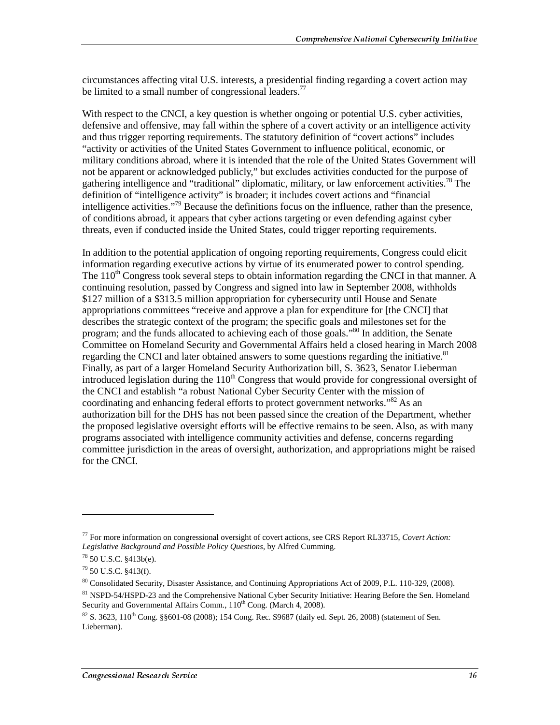circumstances affecting vital U.S. interests, a presidential finding regarding a covert action may be limited to a small number of congressional leaders.<sup>77</sup>

With respect to the CNCI, a key question is whether ongoing or potential U.S. cyber activities, defensive and offensive, may fall within the sphere of a covert activity or an intelligence activity and thus trigger reporting requirements. The statutory definition of "covert actions" includes "activity or activities of the United States Government to influence political, economic, or military conditions abroad, where it is intended that the role of the United States Government will not be apparent or acknowledged publicly," but excludes activities conducted for the purpose of gathering intelligence and "traditional" diplomatic, military, or law enforcement activities.<sup>78</sup> The definition of "intelligence activity" is broader; it includes covert actions and "financial intelligence activities."<sup>79</sup> Because the definitions focus on the influence, rather than the presence, of conditions abroad, it appears that cyber actions targeting or even defending against cyber threats, even if conducted inside the United States, could trigger reporting requirements.

In addition to the potential application of ongoing reporting requirements, Congress could elicit information regarding executive actions by virtue of its enumerated power to control spending. The  $110^{th}$  Congress took several steps to obtain information regarding the CNCI in that manner. A continuing resolution, passed by Congress and signed into law in September 2008, withholds \$127 million of a \$313.5 million appropriation for cybersecurity until House and Senate appropriations committees "receive and approve a plan for expenditure for [the CNCI] that describes the strategic context of the program; the specific goals and milestones set for the program; and the funds allocated to achieving each of those goals."80 In addition, the Senate Committee on Homeland Security and Governmental Affairs held a closed hearing in March 2008 regarding the CNCI and later obtained answers to some questions regarding the initiative.<sup>81</sup> Finally, as part of a larger Homeland Security Authorization bill, S. 3623, Senator Lieberman introduced legislation during the  $110<sup>th</sup>$  Congress that would provide for congressional oversight of the CNCI and establish "a robust National Cyber Security Center with the mission of coordinating and enhancing federal efforts to protect government networks."<sup>82</sup> As an authorization bill for the DHS has not been passed since the creation of the Department, whether the proposed legislative oversight efforts will be effective remains to be seen. Also, as with many programs associated with intelligence community activities and defense, concerns regarding committee jurisdiction in the areas of oversight, authorization, and appropriations might be raised for the CNCI.

<sup>77</sup> For more information on congressional oversight of covert actions, see CRS Report RL33715, *Covert Action: Legislative Background and Possible Policy Questions*, by Alfred Cumming.

<sup>78 50</sup> U.S.C. §413b(e).

 $79$  50 U.S.C. §413(f).

<sup>80</sup> Consolidated Security, Disaster Assistance, and Continuing Appropriations Act of 2009, P.L. 110-329, (2008).

<sup>&</sup>lt;sup>81</sup> NSPD-54/HSPD-23 and the Comprehensive National Cyber Security Initiative: Hearing Before the Sen. Homeland Security and Governmental Affairs Comm., 110<sup>th</sup> Cong. (March 4, 2008).

 $82$  S. 3623,  $110^{th}$  Cong. §§601-08 (2008); 154 Cong. Rec. S9687 (daily ed. Sept. 26, 2008) (statement of Sen. Lieberman).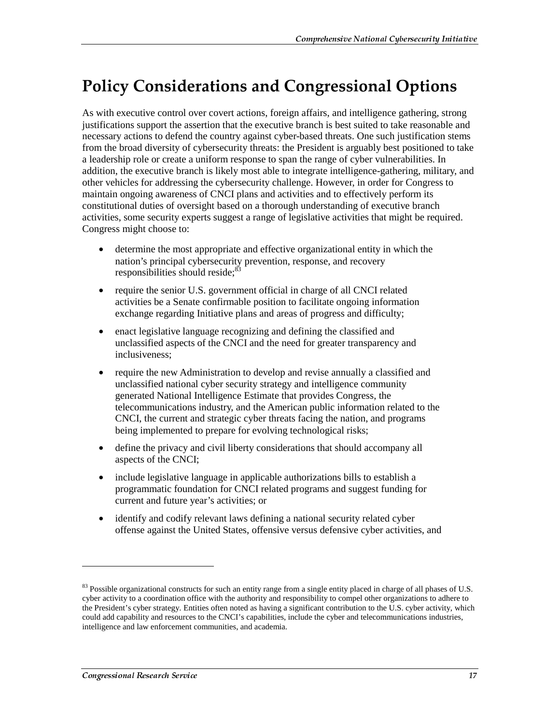# Policy Considerations and Congressional Options

As with executive control over covert actions, foreign affairs, and intelligence gathering, strong justifications support the assertion that the executive branch is best suited to take reasonable and necessary actions to defend the country against cyber-based threats. One such justification stems from the broad diversity of cybersecurity threats: the President is arguably best positioned to take a leadership role or create a uniform response to span the range of cyber vulnerabilities. In addition, the executive branch is likely most able to integrate intelligence-gathering, military, and other vehicles for addressing the cybersecurity challenge. However, in order for Congress to maintain ongoing awareness of CNCI plans and activities and to effectively perform its constitutional duties of oversight based on a thorough understanding of executive branch activities, some security experts suggest a range of legislative activities that might be required. Congress might choose to:

- determine the most appropriate and effective organizational entity in which the nation's principal cybersecurity prevention, response, and recovery responsibilities should reside; $83$
- require the senior U.S. government official in charge of all CNCI related activities be a Senate confirmable position to facilitate ongoing information exchange regarding Initiative plans and areas of progress and difficulty;
- enact legislative language recognizing and defining the classified and unclassified aspects of the CNCI and the need for greater transparency and inclusiveness;
- require the new Administration to develop and revise annually a classified and unclassified national cyber security strategy and intelligence community generated National Intelligence Estimate that provides Congress, the telecommunications industry, and the American public information related to the CNCI, the current and strategic cyber threats facing the nation, and programs being implemented to prepare for evolving technological risks;
- define the privacy and civil liberty considerations that should accompany all aspects of the CNCI;
- include legislative language in applicable authorizations bills to establish a programmatic foundation for CNCI related programs and suggest funding for current and future year's activities; or
- identify and codify relevant laws defining a national security related cyber offense against the United States, offensive versus defensive cyber activities, and

<sup>&</sup>lt;sup>83</sup> Possible organizational constructs for such an entity range from a single entity placed in charge of all phases of U.S. cyber activity to a coordination office with the authority and responsibility to compel other organizations to adhere to the President's cyber strategy. Entities often noted as having a significant contribution to the U.S. cyber activity, which could add capability and resources to the CNCI's capabilities, include the cyber and telecommunications industries, intelligence and law enforcement communities, and academia.